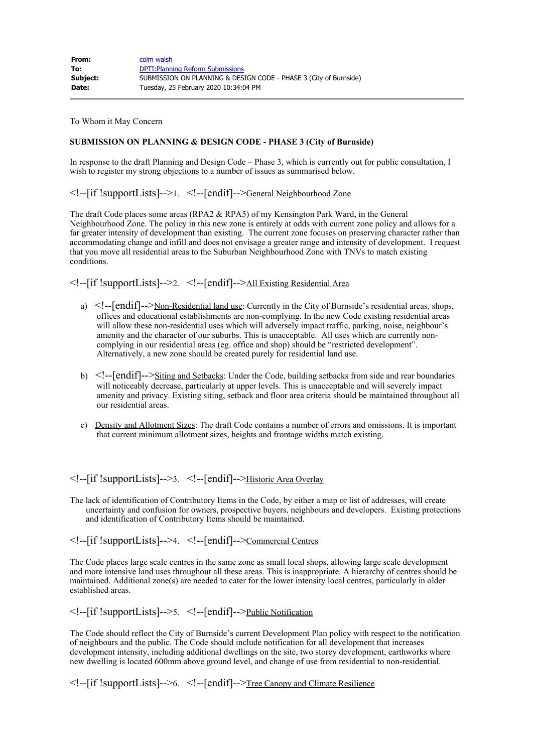| From:    | colm walsh                                                        |
|----------|-------------------------------------------------------------------|
| To:      | <b>DPTI: Planning Reform Submissions</b>                          |
| Subject: | SUBMISSION ON PLANNING & DESIGN CODE - PHASE 3 (City of Burnside) |
| Date:    | Tuesday, 25 February 2020 10:34:04 PM                             |

To Whom it May Concern

## **SUBMISSION ON PLANNING & DESIGN CODE - PHASE 3 (City of Burnside)**

In response to the draft Planning and Design Code – Phase 3, which is currently out for public consultation, I wish to register my strong objections to a number of issues as summarised below.

<!--[if !supportLists]-->1. <!--[endif]-->General Neighbourhood Zone

The draft Code places some areas (RPA2 & RPA5) of my Kensington Park Ward, in the General Neighbourhood Zone. The policy in this new zone is entirely at odds with current zone policy and allows for a far greater intensity of development than existing. The current zone focuses on preserving character rather than accommodating change and infill and does not envisage a greater range and intensity of development. I request that you move all residential areas to the Suburban Neighbourhood Zone with TNVs to match existing conditions.

<!--[if !supportLists]-->2. <!--[endif]-->All Existing Residential Area

- a) <!--[endif]-->Non-Residential land use: Currently in the City of Burnside's residential areas, shops, offices and educational establishments are non-complying. In the new Code existing residential areas will allow these non-residential uses which will adversely impact traffic, parking, noise, neighbour's amenity and the character of our suburbs. This is unacceptable. All uses which are currently noncomplying in our residential areas (eg. office and shop) should be "restricted development". Alternatively, a new zone should be created purely for residential land use.
- b) <!--[endif]-->Siting and Setbacks: Under the Code, building setbacks from side and rear boundaries will noticeably decrease, particularly at upper levels. This is unacceptable and will severely impact amenity and privacy. Existing siting, setback and floor area criteria should be maintained throughout all our residential areas.
- c) Density and Allotment Sizes: The draft Code contains a number of errors and omissions. It is important that current minimum allotment sizes, heights and frontage widths match existing.

<!--[if !supportLists]-->3. <!--[endif]-->Historic Area Overlay

The lack of identification of Contributory Items in the Code, by either a map or list of addresses, will create uncertainty and confusion for owners, prospective buyers, neighbours and developers. Existing protections and identification of Contributory Items should be maintained.

<!--[if !supportLists]-->4. <!--[endif]-->Commercial Centres

The Code places large scale centres in the same zone as small local shops, allowing large scale development and more intensive land uses throughout all these areas. This is inappropriate. A hierarchy of centres should be maintained. Additional zone(s) are needed to cater for the lower intensity local centres, particularly in older established areas.

<!--[if !supportLists]-->5. <!--[endif]-->Public Notification

The Code should reflect the City of Burnside's current Development Plan policy with respect to the notification of neighbours and the public. The Code should include notification for all development that increases development intensity, including additional dwellings on the site, two storey development, earthworks where new dwelling is located 600mm above ground level, and change of use from residential to non-residential.

<!--[if !supportLists]-->6. <!--[endif]-->Tree Canopy and Climate Resilience